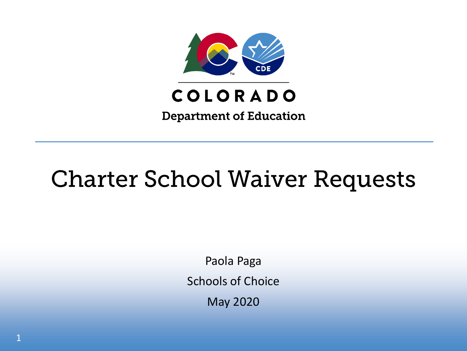

## COLORADO

**Department of Education** 

## Charter School Waiver Requests

Paola Paga Schools of Choice May 2020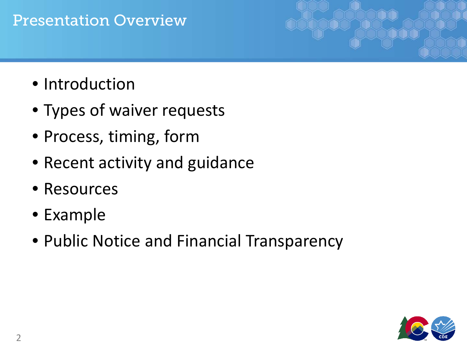#### Presentation Overview

- Introduction
- Types of waiver requests
- Process, timing, form
- Recent activity and guidance
- Resources
- Example
- Public Notice and Financial Transparency

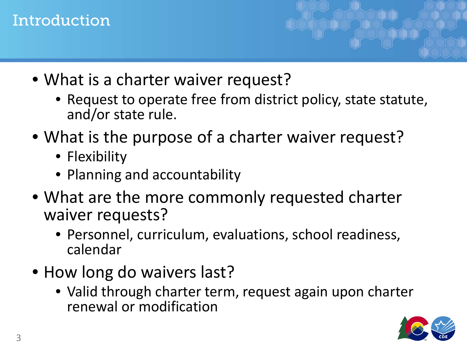#### Introduction

- What is a charter waiver request?
	- Request to operate free from district policy, state statute, and/or state rule.
- What is the purpose of a charter waiver request?
	- Flexibility
	- Planning and accountability
- What are the more commonly requested charter waiver requests?
	- Personnel, curriculum, evaluations, school readiness, calendar
- How long do waivers last?
	- Valid through charter term, request again upon charter renewal or modification

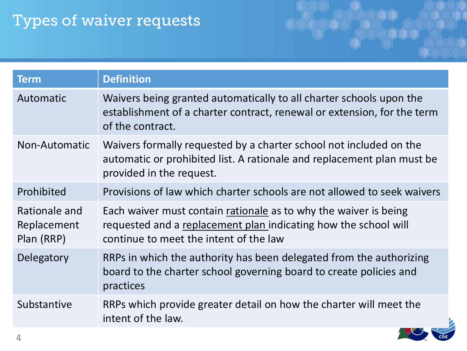## Types of waiver requests

| <b>Term</b>                                | <b>Definition</b>                                                                                                                                                             |
|--------------------------------------------|-------------------------------------------------------------------------------------------------------------------------------------------------------------------------------|
| Automatic                                  | Waivers being granted automatically to all charter schools upon the<br>establishment of a charter contract, renewal or extension, for the term<br>of the contract.            |
| Non-Automatic                              | Waivers formally requested by a charter school not included on the<br>automatic or prohibited list. A rationale and replacement plan must be<br>provided in the request.      |
| Prohibited                                 | Provisions of law which charter schools are not allowed to seek waivers                                                                                                       |
| Rationale and<br>Replacement<br>Plan (RRP) | Each waiver must contain rationale as to why the waiver is being<br>requested and a replacement plan indicating how the school will<br>continue to meet the intent of the law |
| Delegatory                                 | RRPs in which the authority has been delegated from the authorizing<br>board to the charter school governing board to create policies and<br>practices                        |
| Substantive                                | RRPs which provide greater detail on how the charter will meet the<br>intent of the law.                                                                                      |

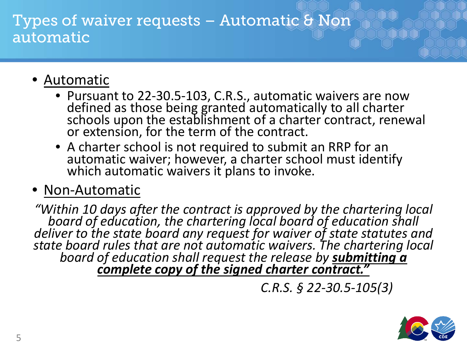#### Types of waiver requests – Automatic & Non automatic

- Automatic
	- Pursuant to 22-30.5-103, C.R.S., automatic waivers are now defined as those being granted automatically to all charter schools upon the establishment of a charter contract, renewal or extension, for the term of the contract.
	- A charter school is not required to submit an RRP for an automatic waiver; however, a charter school must identify which automatic waivers it plans to invoke.
- Non-Automatic

*"Within 10 days after the contract is approved by the chartering local board of education, the chartering local board of education shall deliver to the state board any request for waiver of state statutes and state board rules that are not automatic waivers. The chartering local board of education shall request the release by submitting a complete copy of the signed charter contract."* 

*C.R.S. § 22-30.5-105(3)*

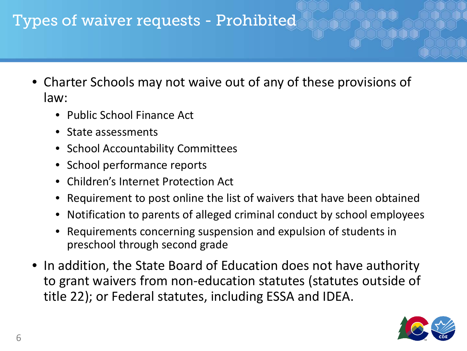## Types of waiver requests - Prohibited

- Charter Schools may not waive out of any of these provisions of law:
	- Public School Finance Act
	- State assessments
	- School Accountability Committees
	- School performance reports
	- Children's Internet Protection Act
	- Requirement to post online the list of waivers that have been obtained
	- Notification to parents of alleged criminal conduct by school employees
	- Requirements concerning suspension and expulsion of students in preschool through second grade
- In addition, the State Board of Education does not have authority to grant waivers from non-education statutes (statutes outside of title 22); or Federal statutes, including ESSA and IDEA.

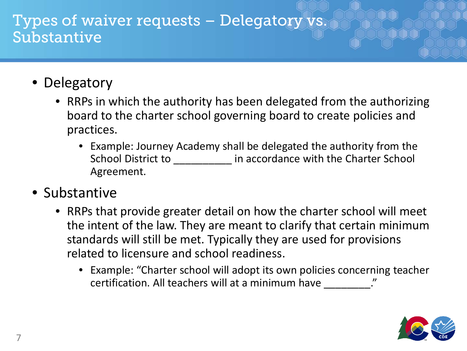#### Types of waiver requests – Delegatory vs. Substantive

- Delegatory
	- RRPs in which the authority has been delegated from the authorizing board to the charter school governing board to create policies and practices.
		- Example: Journey Academy shall be delegated the authority from the School District to **Exercise 1** in accordance with the Charter School Agreement.
- Substantive
	- RRPs that provide greater detail on how the charter school will meet the intent of the law. They are meant to clarify that certain minimum standards will still be met. Typically they are used for provisions related to licensure and school readiness.
		- Example: "Charter school will adopt its own policies concerning teacher certification. All teachers will at a minimum have \_\_\_\_\_\_\_\_\_."

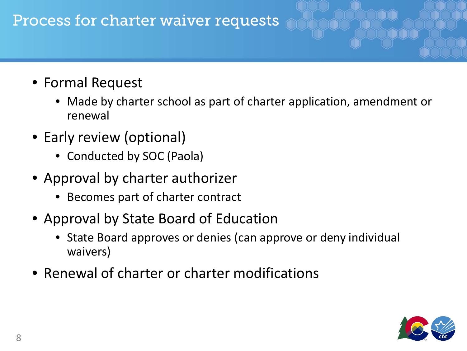#### Process for charter waiver requests

- Formal Request
	- Made by charter school as part of charter application, amendment or renewal
- Early review (optional)
	- Conducted by SOC (Paola)
- Approval by charter authorizer
	- Becomes part of charter contract
- Approval by State Board of Education
	- State Board approves or denies (can approve or deny individual waivers)
- Renewal of charter or charter modifications

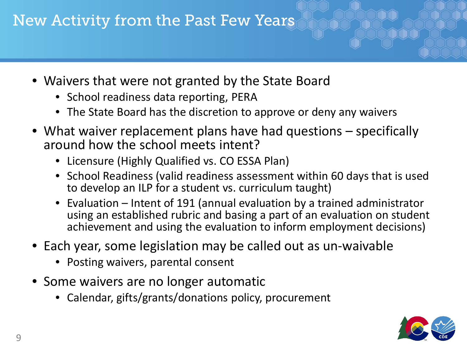## New Activity from the Past Few Years

- Waivers that were not granted by the State Board
	- School readiness data reporting, PERA
	- The State Board has the discretion to approve or deny any waivers
- What waiver replacement plans have had questions specifically around how the school meets intent?
	- Licensure (Highly Qualified vs. CO ESSA Plan)
	- School Readiness (valid readiness assessment within 60 days that is used to develop an ILP for a student vs. curriculum taught)
	- Evaluation Intent of 191 (annual evaluation by a trained administrator using an established rubric and basing a part of an evaluation on student achievement and using the evaluation to inform employment decisions)
- Each year, some legislation may be called out as un-waivable
	- Posting waivers, parental consent
- Some waivers are no longer automatic
	- Calendar, gifts/grants/donations policy, procurement

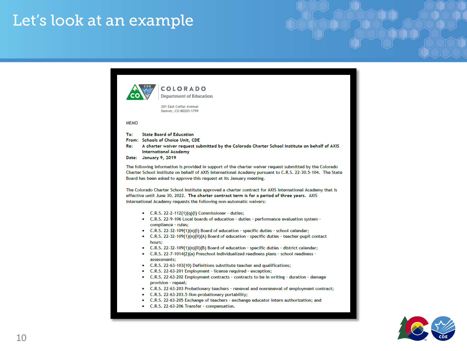## Let's look at an example

| COLORADO<br><b>Department of Education</b><br>201 East Colfax Avenue<br>Denver, CO 80203-1799                                                                                                                                                                                                                              |  |
|----------------------------------------------------------------------------------------------------------------------------------------------------------------------------------------------------------------------------------------------------------------------------------------------------------------------------|--|
| <b>MFMO</b>                                                                                                                                                                                                                                                                                                                |  |
| To:<br><b>State Board of Education</b><br>From: Schools of Choice Unit, CDE<br>Re: A charter waiver request submitted by the Colorado Charter School Institute on behalf of AXIS<br><b>International Academy</b><br>Date: January 9, 2019                                                                                  |  |
| The following information is provided in support of the charter waiver request submitted by the Colorado<br>Charter School Institute on behalf of AXIS International Academy pursuant to C.R.S. 22-30.5-104. The State<br>Board has been asked to approve this request at its January meeting.                             |  |
| The Colorado Charter School Institute approved a charter contract for AXIS International Academy that is<br>effective until June 30, 2022. The charter contract term is for a period of three years. AXIS<br>International Academy requests the following non-automatic waivers:                                           |  |
| • C.R.S. 22-2-112(1)(q)(l) Commissioner - duties;<br>• C.R.S. 22-9-106 Local boards of education - duties - performance evaluation system -<br>compliance - rules;<br>• C.R.S. 22-32-109(1)(n)(l) Board of education - specific duties - school calendar;                                                                  |  |
| $C.R.S. 22-32-109(1)(n)(II)(A)$ Board of education - specific duties - teacher-pupil contact<br>$\bullet$<br>hours;<br>• C.R.S. 22-32-109(1)(n)(ll)(B) Board of education - specific duties - district calendar;<br>• C.R.S. 22-7-1014(2)(a) Preschool individualized readiness plans - school readiness -<br>assessments: |  |
| • C.R.S. 22-63-103(10) Definitions substitute teacher and qualifications;<br>C.R.S. 22-63-201 Employment - license required - exception;<br>. .<br>C.R.S. 22-63-202 Employment contracts - contracts to be in writing - duration - damage<br>$\bullet$<br>provision - repeal;                                              |  |
| • C.R.S. 22-63-203 Probationary teachers - renewal and nonrenewal of employment contract;<br>C.R.S. 22-63-203.5 Non-probationary portability;<br>. .<br>• C.R.S. 22-63-205 Exchange of teachers - exchange educator intern authorization; and<br>C.R.S. 22-63-206 Transfer - compensation.                                 |  |

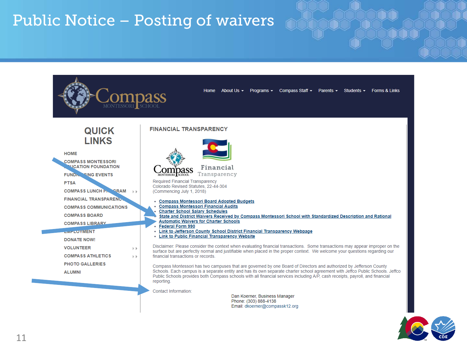## Public Notice – Posting of waivers

| <b>QUICK</b><br><b>LINKS</b>                                                                                     | <b>FINANCIAL TRANSPARENCY</b>                                                                                                                                                                                                                                                                                                                                                                       |  |
|------------------------------------------------------------------------------------------------------------------|-----------------------------------------------------------------------------------------------------------------------------------------------------------------------------------------------------------------------------------------------------------------------------------------------------------------------------------------------------------------------------------------------------|--|
| <b>HOME</b><br><b>COMPASS MONTESSORI</b><br><b>NUCATION FOUNDATION</b><br><b>FUND. ISING EVENTS</b>              | Financial<br>Transparency<br>MONTESSORI SCHOOL                                                                                                                                                                                                                                                                                                                                                      |  |
| <b>PTSA</b><br><b>COMPASS LUNCH F. GRAM</b>                                                                      | Required Financial Transparency<br>Colorado Revised Statutes, 22-44-304<br>(Commencing July 1, 2018)                                                                                                                                                                                                                                                                                                |  |
| <b>FINANCIAL TRANSPARENCT</b><br><b>COMPASS COMMUNICATIONS</b><br><b>COMPASS BOARD</b><br><b>COMPASS LIBRARY</b> | • Compass Montessori Board Adopted Budgets<br><b>Compass Montessori Financial Audits</b><br><b>Charter School Salary Schedules</b><br>State and District Waivers Received by Compass Montessori School with Standardized Description and Rational<br><b>Automatic Waivers for Charter Schools</b>                                                                                                   |  |
| <b>CONTEQYMENT</b><br><b>DONATE NOW!</b>                                                                         | <b>Federal Form 990</b><br>- Link to Jefferson County School District Financial Transparency Webpage<br>• Link to Public Financial Transparency Website                                                                                                                                                                                                                                             |  |
| <b>VOLUNTEER</b><br>$\mathbb{F}$<br><b>COMPASS ATHLETICS</b><br>b b                                              | Disclaimer: Please consider the context when evaluating financial transactions. Some transactions may appear improper on the<br>surface but are perfectly normal and justifiable when placed in the proper context. We welcome your questions regarding our<br>financial transactions or records.                                                                                                   |  |
| <b>PHOTO GALLERIES</b><br><b>ALUMNI</b>                                                                          | Compass Montessori has two campuses that are governed by one Board of Directors and authorized by Jefferson County<br>Schools. Each campus is a separate entity and has its own separate charter school agreement with Jeffco Public Schools. Jeffco<br>Public Schools provides both Compass schools with all financial services including A/P, cash receipts, payroll, and financial<br>reporting. |  |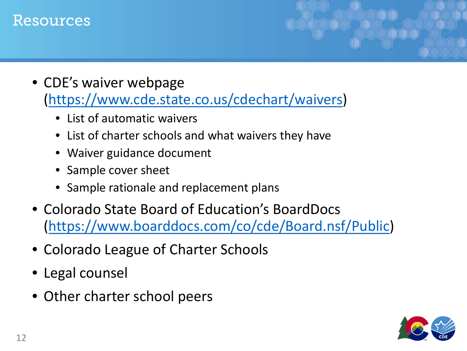#### Resources

- CDE's waiver webpage (<https://www.cde.state.co.us/cdechart/waivers>)
	- List of automatic waivers
	- List of charter schools and what waivers they have
	- Waiver guidance document
	- Sample cover sheet
	- Sample rationale and replacement plans
- Colorado State Board of Education's BoardDocs ([https://www.boarddocs.com/co/cde/Board.nsf/Public\)](https://www.boarddocs.com/co/cde/Board.nsf/Public)
- Colorado League of Charter Schools
- Legal counsel
- Other charter school peers